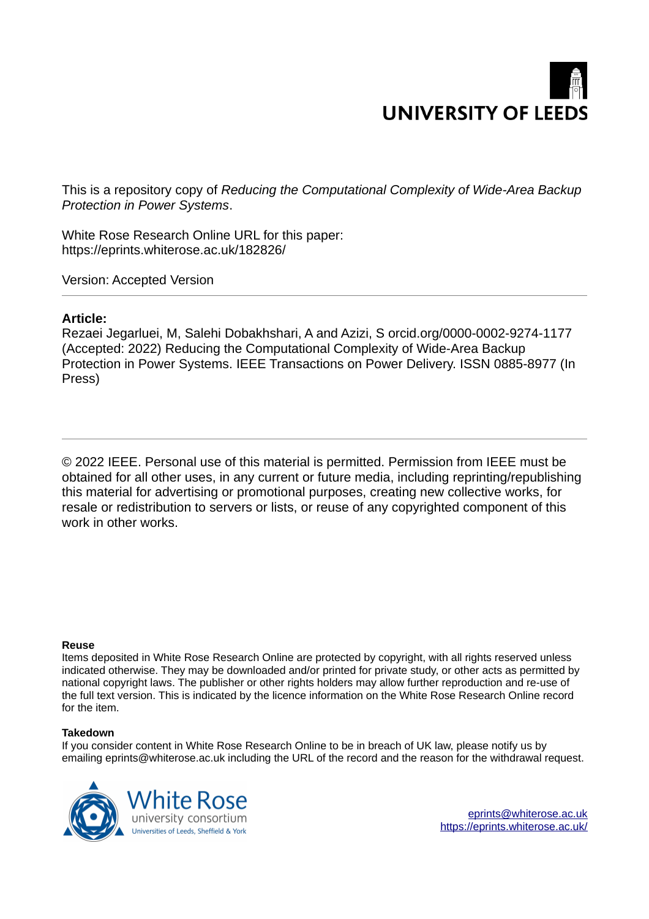# **UNIVERSITY OF LEEDS**

This is a repository copy of *Reducing the Computational Complexity of Wide-Area Backup Protection in Power Systems*.

White Rose Research Online URL for this paper: https://eprints.whiterose.ac.uk/182826/

Version: Accepted Version

# **Article:**

Rezaei Jegarluei, M, Salehi Dobakhshari, A and Azizi, S orcid.org/0000-0002-9274-1177 (Accepted: 2022) Reducing the Computational Complexity of Wide-Area Backup Protection in Power Systems. IEEE Transactions on Power Delivery. ISSN 0885-8977 (In Press)

© 2022 IEEE. Personal use of this material is permitted. Permission from IEEE must be obtained for all other uses, in any current or future media, including reprinting/republishing this material for advertising or promotional purposes, creating new collective works, for resale or redistribution to servers or lists, or reuse of any copyrighted component of this work in other works.

## **Reuse**

Items deposited in White Rose Research Online are protected by copyright, with all rights reserved unless indicated otherwise. They may be downloaded and/or printed for private study, or other acts as permitted by national copyright laws. The publisher or other rights holders may allow further reproduction and re-use of the full text version. This is indicated by the licence information on the White Rose Research Online record for the item.

## **Takedown**

If you consider content in White Rose Research Online to be in breach of UK law, please notify us by emailing eprints@whiterose.ac.uk including the URL of the record and the reason for the withdrawal request.



eprints@whiterose.ac.uk https://eprints.whiterose.ac.uk/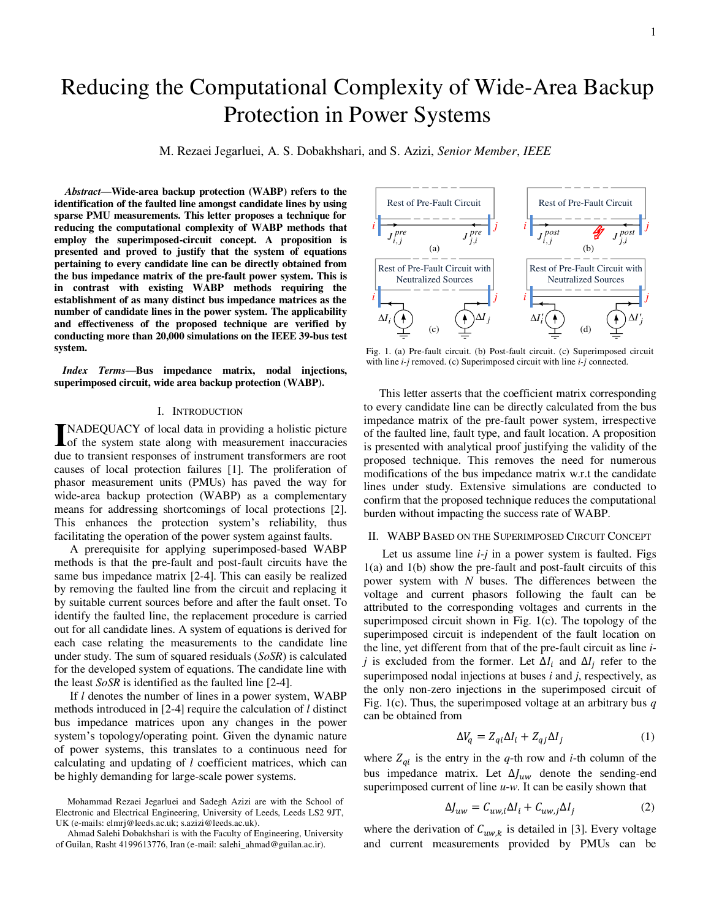# Reducing the Computational Complexity of Wide-Area Backup Protection in Power Systems

M. Rezaei Jegarluei, A. S. Dobakhshari, and S. Azizi, *Senior Member*, *IEEE*

*Abstract***—Wide-area backup protection (WABP) refers to the identification of the faulted line amongst candidate lines by using sparse PMU measurements. This letter proposes a technique for reducing the computational complexity of WABP methods that employ the superimposed-circuit concept. A proposition is presented and proved to justify that the system of equations pertaining to every candidate line can be directly obtained from the bus impedance matrix of the pre-fault power system. This is in contrast with existing WABP methods requiring the establishment of as many distinct bus impedance matrices as the number of candidate lines in the power system. The applicability and effectiveness of the proposed technique are verified by conducting more than 20,000 simulations on the IEEE 39-bus test system.** 

*Index Terms***—Bus impedance matrix, nodal injections, superimposed circuit, wide area backup protection (WABP).** 

#### I. INTRODUCTION

NADEQUACY of local data in providing a holistic picture INADEQUACY of local data in providing a holistic picture<br>of the system state along with measurement inaccuracies due to transient responses of instrument transformers are root causes of local protection failures [1]. The proliferation of phasor measurement units (PMUs) has paved the way for wide-area backup protection (WABP) as a complementary means for addressing shortcomings of local protections [2]. This enhances the protection system's reliability, thus facilitating the operation of the power system against faults.

A prerequisite for applying superimposed-based WABP methods is that the pre-fault and post-fault circuits have the same bus impedance matrix [2-4]. This can easily be realized by removing the faulted line from the circuit and replacing it by suitable current sources before and after the fault onset. To identify the faulted line, the replacement procedure is carried out for all candidate lines. A system of equations is derived for each case relating the measurements to the candidate line under study. The sum of squared residuals (*SoSR*) is calculated for the developed system of equations. The candidate line with the least *SoSR* is identified as the faulted line [2-4].

If *l* denotes the number of lines in a power system, WABP methods introduced in [2-4] require the calculation of *l* distinct bus impedance matrices upon any changes in the power system's topology/operating point. Given the dynamic nature of power systems, this translates to a continuous need for calculating and updating of *l* coefficient matrices, which can be highly demanding for large-scale power systems.



Ahmad Salehi Dobakhshari is with the Faculty of Engineering, University of Guilan, Rasht 4199613776, Iran (e-mail: salehi\_ahmad@guilan.ac.ir).



Fig. 1. (a) Pre-fault circuit. (b) Post-fault circuit. (c) Superimposed circuit with line *i-j* removed. (c) Superimposed circuit with line *i-j* connected.

This letter asserts that the coefficient matrix corresponding to every candidate line can be directly calculated from the bus impedance matrix of the pre-fault power system, irrespective of the faulted line, fault type, and fault location. A proposition is presented with analytical proof justifying the validity of the proposed technique. This removes the need for numerous modifications of the bus impedance matrix w.r.t the candidate lines under study. Extensive simulations are conducted to confirm that the proposed technique reduces the computational burden without impacting the success rate of WABP.

#### II. WABP BASED ON THE SUPERIMPOSED CIRCUIT CONCEPT

Let us assume line *i-j* in a power system is faulted. Figs 1(a) and 1(b) show the pre-fault and post-fault circuits of this power system with *N* buses. The differences between the voltage and current phasors following the fault can be attributed to the corresponding voltages and currents in the superimposed circuit shown in Fig. 1(c). The topology of the superimposed circuit is independent of the fault location on the line, yet different from that of the pre-fault circuit as line *ij* is excluded from the former. Let  $\Delta I_i$  and  $\Delta I_j$  refer to the superimposed nodal injections at buses *i* and *j*, respectively, as the only non-zero injections in the superimposed circuit of Fig. 1(c). Thus, the superimposed voltage at an arbitrary bus *q* can be obtained from

$$
\Delta V_q = Z_{qi} \Delta I_i + Z_{qj} \Delta I_j \tag{1}
$$

where  $Z_{qi}$  is the entry in the *q*-th row and *i*-th column of the bus impedance matrix. Let  $\Delta J_{uw}$  denote the sending-end superimposed current of line *u*-*w*. It can be easily shown that

$$
\Delta J_{uw} = C_{uw,i} \Delta I_i + C_{uw,j} \Delta I_j \tag{2}
$$

where the derivation of  $C_{uw,k}$  is detailed in [3]. Every voltage and current measurements provided by PMUs can be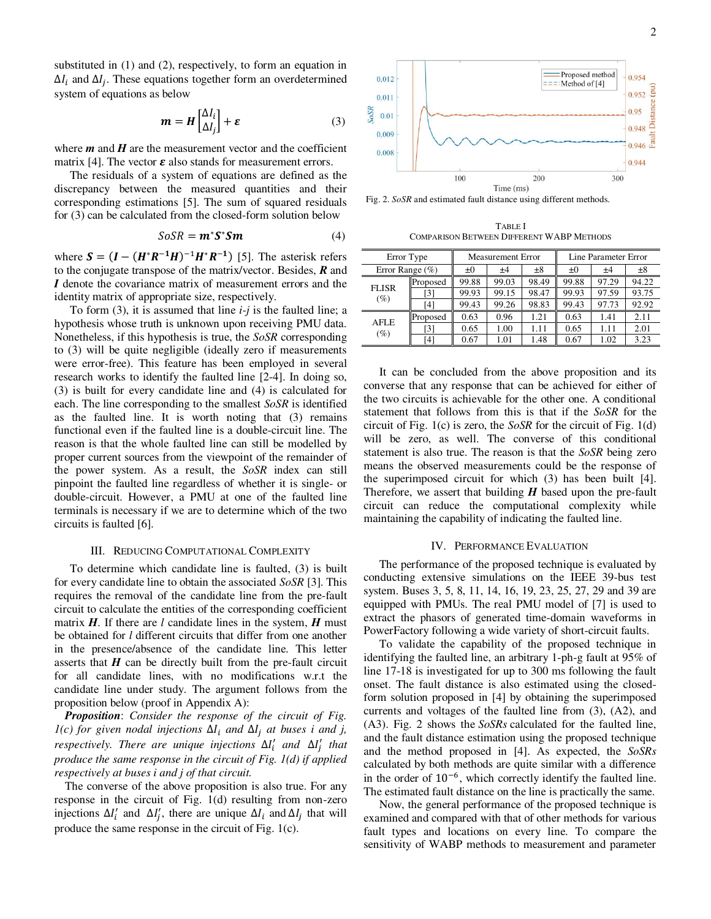substituted in (1) and (2), respectively, to form an equation in  $\Delta I_i$  and  $\Delta I_j$ . These equations together form an overdetermined system of equations as below

$$
\mathbf{m} = \mathbf{H} \begin{bmatrix} \Delta I_i \\ \Delta I_j \end{bmatrix} + \varepsilon \tag{3}
$$

where  $m$  and  $H$  are the measurement vector and the coefficient matrix [4]. The vector  $\varepsilon$  also stands for measurement errors.

The residuals of a system of equations are defined as the discrepancy between the measured quantities and their corresponding estimations [5]. The sum of squared residuals for (3) can be calculated from the closed-form solution below

$$
SoSR = m^*S^*Sm \tag{4}
$$

where  $S = (I - (H^*R^{-1}H)^{-1}H^*R^{-1})$  [5]. The asterisk refers to the conjugate transpose of the matrix/vector. Besides, *R* and *I* denote the covariance matrix of measurement errors and the identity matrix of appropriate size, respectively.

To form (3), it is assumed that line *i-j* is the faulted line; a hypothesis whose truth is unknown upon receiving PMU data. Nonetheless, if this hypothesis is true, the *SoSR* corresponding to (3) will be quite negligible (ideally zero if measurements were error-free). This feature has been employed in several research works to identify the faulted line [2-4]. In doing so, (3) is built for every candidate line and (4) is calculated for each. The line corresponding to the smallest *SoSR* is identified as the faulted line. It is worth noting that (3) remains functional even if the faulted line is a double-circuit line. The reason is that the whole faulted line can still be modelled by proper current sources from the viewpoint of the remainder of the power system. As a result, the *SoSR* index can still pinpoint the faulted line regardless of whether it is single- or double-circuit. However, a PMU at one of the faulted line terminals is necessary if we are to determine which of the two circuits is faulted [6].

#### III. REDUCING COMPUTATIONAL COMPLEXITY

To determine which candidate line is faulted, (3) is built for every candidate line to obtain the associated *SoSR* [3]. This requires the removal of the candidate line from the pre-fault circuit to calculate the entities of the corresponding coefficient matrix  $H$ . If there are *l* candidate lines in the system,  $H$  must be obtained for *l* different circuits that differ from one another in the presence/absence of the candidate line. This letter asserts that  $H$  can be directly built from the pre-fault circuit for all candidate lines, with no modifications w.r.t the candidate line under study. The argument follows from the proposition below (proof in Appendix A):

*Proposition*: *Consider the response of the circuit of Fig.*   $I(c)$  for given nodal injections  $\Delta I_i$  and  $\Delta I_j$  at buses *i* and *j*,  $r$ *espectively. There are unique injections*  $\Delta I'_i$  *and*  $\Delta I'_j$  *that produce the same response in the circuit of Fig. 1(d) if applied respectively at buses i and j of that circuit.*

The converse of the above proposition is also true. For any response in the circuit of Fig. 1(d) resulting from non-zero injections  $\Delta I'_i$  and  $\Delta I'_j$ , there are unique  $\Delta I_i$  and  $\Delta I_j$  that will produce the same response in the circuit of Fig. 1(c).



Fig. 2. *SoSR* and estimated fault distance using different methods.

TABLE I COMPARISON BETWEEN DIFFERENT WABP METHODS

| Error Type          |          |         | <b>Measurement Error</b> |         | Line Parameter Error |       |         |
|---------------------|----------|---------|--------------------------|---------|----------------------|-------|---------|
| Error Range $(\% )$ |          | $\pm 0$ | ±4                       | $\pm 8$ | $_{\pm 0}$           | ±4    | $\pm 8$ |
| <b>FLISR</b><br>(%) | Proposed | 99.88   | 99.03                    | 98.49   | 99.88                | 97.29 | 94.22   |
|                     | [3]      | 99.93   | 99.15                    | 98.47   | 99.93                | 97.59 | 93.75   |
|                     | [4]      | 99.43   | 99.26                    | 98.83   | 99.43                | 97.73 | 92.92   |
| AFLE<br>(%)         | Proposed | 0.63    | 0.96                     | 1.21    | 0.63                 | 1.41  | 2.11    |
|                     | [3]      | 0.65    | 1.00                     | 1.11    | 0.65                 | 1.11  | 2.01    |
|                     | [4]      | 0.67    | 1.01                     | 1.48    | 0.67                 | 1.02  | 3.23    |

It can be concluded from the above proposition and its converse that any response that can be achieved for either of the two circuits is achievable for the other one. A conditional statement that follows from this is that if the *SoSR* for the circuit of Fig. 1(c) is zero, the *SoSR* for the circuit of Fig. 1(d) will be zero, as well. The converse of this conditional statement is also true. The reason is that the *SoSR* being zero means the observed measurements could be the response of the superimposed circuit for which (3) has been built [4]. Therefore, we assert that building *H* based upon the pre-fault circuit can reduce the computational complexity while maintaining the capability of indicating the faulted line.

#### IV. PERFORMANCE EVALUATION

The performance of the proposed technique is evaluated by conducting extensive simulations on the IEEE 39-bus test system. Buses 3, 5, 8, 11, 14, 16, 19, 23, 25, 27, 29 and 39 are equipped with PMUs. The real PMU model of [7] is used to extract the phasors of generated time-domain waveforms in PowerFactory following a wide variety of short-circuit faults.

To validate the capability of the proposed technique in identifying the faulted line, an arbitrary 1-ph-g fault at 95% of line 17-18 is investigated for up to 300 ms following the fault onset. The fault distance is also estimated using the closedform solution proposed in [4] by obtaining the superimposed currents and voltages of the faulted line from (3), (A2), and (A3). Fig. 2 shows the *SoSRs* calculated for the faulted line, and the fault distance estimation using the proposed technique and the method proposed in [4]. As expected, the *SoSRs* calculated by both methods are quite similar with a difference in the order of 10−6, which correctly identify the faulted line. The estimated fault distance on the line is practically the same.

Now, the general performance of the proposed technique is examined and compared with that of other methods for various fault types and locations on every line. To compare the sensitivity of WABP methods to measurement and parameter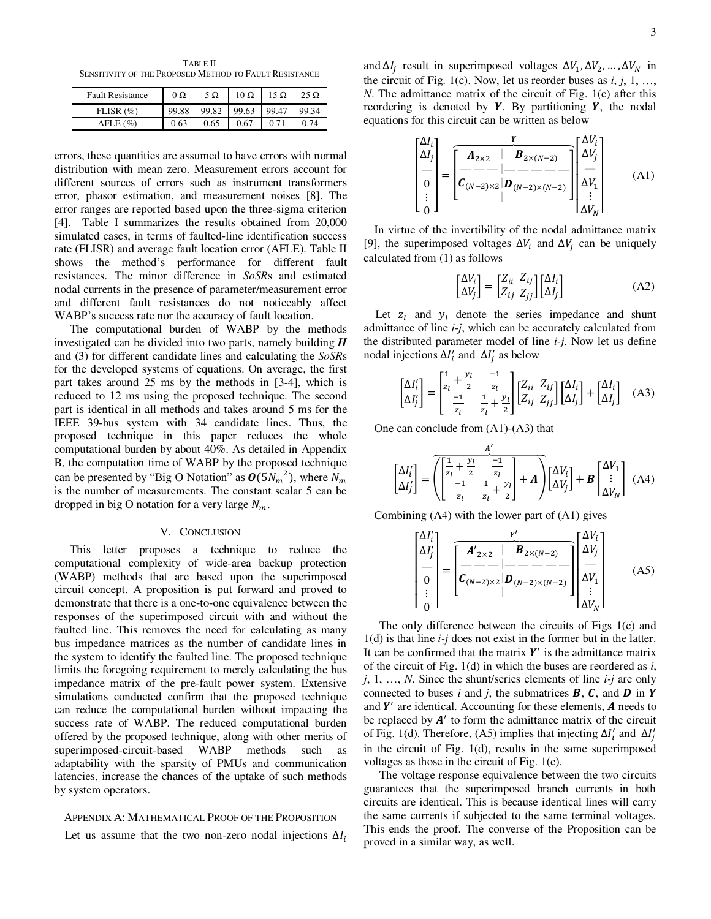TABLE II SENSITIVITY OF THE PROPOSED METHOD TO FAULT RESISTANCE

| <b>Fault Resistance</b> | $0\Omega$ | $5 \Omega$ | $10 \Omega$ | 15 Ω  | 25 Ω  |
|-------------------------|-----------|------------|-------------|-------|-------|
| FLISR $(\%)$            | 99.88     | 99.82      | 99.63       | 99.47 | 99.34 |
| A FLE (%)               | 0.63      | 0.65       | 0.67        |       |       |

errors, these quantities are assumed to have errors with normal distribution with mean zero. Measurement errors account for different sources of errors such as instrument transformers error, phasor estimation, and measurement noises [8]. The error ranges are reported based upon the three-sigma criterion [4]. Table I summarizes the results obtained from 20,000 simulated cases, in terms of faulted-line identification success rate (FLISR) and average fault location error (AFLE). Table II shows the method's performance for different fault resistances. The minor difference in *SoSR*s and estimated nodal currents in the presence of parameter/measurement error and different fault resistances do not noticeably affect WABP's success rate nor the accuracy of fault location.

The computational burden of WABP by the methods investigated can be divided into two parts, namely building *H* and (3) for different candidate lines and calculating the *SoSR*s for the developed systems of equations. On average, the first part takes around 25 ms by the methods in [3-4], which is reduced to 12 ms using the proposed technique. The second part is identical in all methods and takes around 5 ms for the IEEE 39-bus system with 34 candidate lines. Thus, the proposed technique in this paper reduces the whole computational burden by about 40%. As detailed in Appendix B, the computation time of WABP by the proposed technique can be presented by "Big O Notation" as  $\mathbf{0}(5N_m^2)$ , where  $N_m$ is the number of measurements. The constant scalar 5 can be dropped in big O notation for a very large  $N_m$ .

#### V. CONCLUSION

This letter proposes a technique to reduce the computational complexity of wide-area backup protection (WABP) methods that are based upon the superimposed circuit concept. A proposition is put forward and proved to demonstrate that there is a one-to-one equivalence between the responses of the superimposed circuit with and without the faulted line. This removes the need for calculating as many bus impedance matrices as the number of candidate lines in the system to identify the faulted line. The proposed technique limits the foregoing requirement to merely calculating the bus impedance matrix of the pre-fault power system. Extensive simulations conducted confirm that the proposed technique can reduce the computational burden without impacting the success rate of WABP. The reduced computational burden offered by the proposed technique, along with other merits of superimposed-circuit-based WABP methods such adaptability with the sparsity of PMUs and communication latencies, increase the chances of the uptake of such methods by system operators.

#### APPENDIX A: MATHEMATICAL PROOF OF THE PROPOSITION

Let us assume that the two non-zero nodal injections  $\Delta I_i$ 

and  $\Delta I_j$  result in superimposed voltages  $\Delta V_1, \Delta V_2, ..., \Delta V_N$  in the circuit of Fig. 1(c). Now, let us reorder buses as *i*, *j*, 1, …, *N*. The admittance matrix of the circuit of Fig. 1(c) after this reordering is denoted by  $Y$ . By partitioning  $Y$ , the nodal equations for this circuit can be written as below

$$
\begin{bmatrix}\n\Delta I_i \\
\Delta I_j \\
\vdots \\
0 \\
0\n\end{bmatrix} = \begin{bmatrix}\n\frac{\mathbf{Y}}{|\mathbf{A}_{2\times 2}|} & \mathbf{B}_{2\times (N-2)} \\
-\mathbf{A}_{2\times 2} & -\mathbf{B}_{2\times (N-2)} \\
\vdots & \vdots \\
0 & 0\n\end{bmatrix} \begin{bmatrix}\n\Delta V_i \\
\Delta V_j \\
\vdots \\
\Delta V_k\n\end{bmatrix}
$$
\n(A1)

In virtue of the invertibility of the nodal admittance matrix [9], the superimposed voltages  $\Delta V_i$  and  $\Delta V_j$  can be uniquely calculated from (1) as follows

$$
\begin{bmatrix} \Delta V_i \\ \Delta V_j \end{bmatrix} = \begin{bmatrix} Z_{ii} & Z_{ij} \\ Z_{ij} & Z_{jj} \end{bmatrix} \begin{bmatrix} \Delta I_i \\ \Delta I_j \end{bmatrix}
$$
 (A2)

Let  $z_l$  and  $y_l$  denote the series impedance and shunt admittance of line *i*-*j*, which can be accurately calculated from the distributed parameter model of line *i-j*. Now let us define nodal injections  $\Delta I'_i$  and  $\Delta I'_j$  as below

$$
\begin{bmatrix} \Delta I'_i \\ \Delta I'_j \end{bmatrix} = \begin{bmatrix} \frac{1}{z_l} + \frac{y_l}{z} & \frac{-1}{z_l} \\ \frac{-1}{z_l} & \frac{1}{z_l} + \frac{y_l}{z} \end{bmatrix} \begin{bmatrix} Z_{ii} & Z_{ij} \\ Z_{ij} & Z_{jj} \end{bmatrix} \begin{bmatrix} \Delta I_i \\ \Delta I_j \end{bmatrix} + \begin{bmatrix} \Delta I_i \\ \Delta I_j \end{bmatrix} \quad (A3)
$$

One can conclude from (A1)-(A3) that

$$
\begin{bmatrix} \Delta I_i' \\ \Delta I_j' \end{bmatrix} = \overline{\left( \begin{bmatrix} \frac{1}{z_l} + \frac{y_l}{2} & -\frac{1}{z_l} \\ -\frac{1}{z_l} & \frac{1}{z_l} + \frac{y_l}{2} \end{bmatrix} + \mathbf{A} \right)} \begin{bmatrix} \Delta V_i \\ \Delta V_j \end{bmatrix} + \mathbf{B} \begin{bmatrix} \Delta V_1 \\ \vdots \\ \Delta V_N \end{bmatrix} \tag{A4}
$$

Combining (A4) with the lower part of (A1) gives

$$
\begin{bmatrix}\n\Delta I_i' \\
\Delta I_j' \\
\vdots \\
0\n\end{bmatrix} = \begin{bmatrix}\n\frac{\mathbf{r}'}{A'_{2\times 2}} & \mathbf{B}_{2\times (N-2)} \\
-\mathbf{R}_{2\times (N-2)} & \mathbf{B}_{2\times (N-2)} \\
\mathbf{C}_{(N-2)\times 2} & \mathbf{D}_{(N-2)\times (N-2)}\n\end{bmatrix} \begin{bmatrix}\n\Delta V_i \\
\Delta V_j \\
\vdots \\
\Delta V_N\n\end{bmatrix}
$$
\n(A5)

The only difference between the circuits of Figs 1(c) and 1(d) is that line *i-j* does not exist in the former but in the latter. It can be confirmed that the matrix  $Y'$  is the admittance matrix of the circuit of Fig. 1(d) in which the buses are reordered as *i*, *j*, 1, …, *N*. Since the shunt/series elements of line *i-j* are only connected to buses *i* and *j*, the submatrices  $\mathbf{B}$ ,  $\mathbf{C}$ , and  $\mathbf{D}$  in  $\mathbf{Y}$ and  $Y'$  are identical. Accounting for these elements,  $A$  needs to be replaced by  $A'$  to form the admittance matrix of the circuit of Fig. 1(d). Therefore, (A5) implies that injecting  $\Delta I'_i$  and  $\Delta I'_j$ in the circuit of Fig. 1(d), results in the same superimposed voltages as those in the circuit of Fig. 1(c).

The voltage response equivalence between the two circuits guarantees that the superimposed branch currents in both circuits are identical. This is because identical lines will carry the same currents if subjected to the same terminal voltages. This ends the proof. The converse of the Proposition can be proved in a similar way, as well.